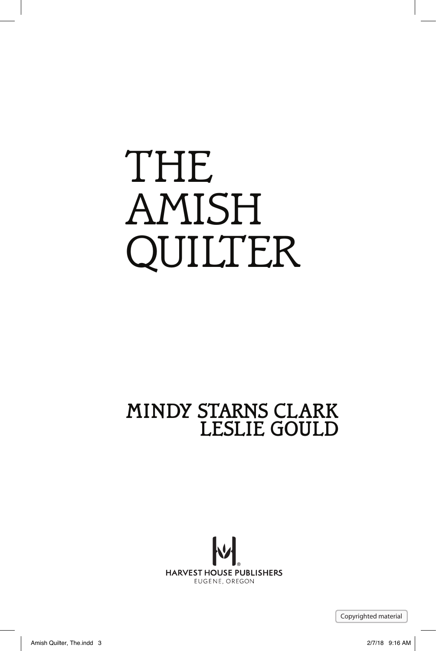# THE AMISH QUILTER  $\overline{ }$

## MINDY STARNS CLARK LESLIE GOULD



Copyrighted material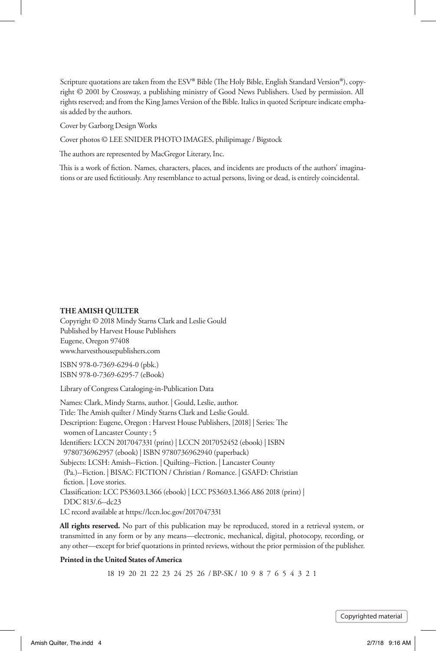Scripture quotations are taken from the ESV® Bible (The Holy Bible, English Standard Version®), copyright © 2001 by Crossway, a publishing ministry of Good News Publishers. Used by permission. All rights reserved; and from the King James Version of the Bible. Italics in quoted Scripture indicate emphasis added by the authors.

Cover by Garborg Design Works

Cover photos © LEE SNIDER PHOTO IMAGES, philipimage / Bigstock

The authors are represented by MacGregor Literary, Inc.

This is a work of fiction. Names, characters, places, and incidents are products of the authors' imaginations or are used fictitiously. Any resemblance to actual persons, living or dead, is entirely coincidental.

#### **THE AMISH QUILTER**

Copyright © 2018 Mindy Starns Clark and Leslie Gould Published by Harvest House Publishers Eugene, Oregon 97408 www.harvesthousepublishers.com

ISBN 978-0-7369-6294-0 (pbk.) ISBN 978-0-7369-6295-7 (eBook)

Library of Congress Cataloging-in-Publication Data

Names: Clark, Mindy Starns, author. | Gould, Leslie, author. Title: The Amish quilter / Mindy Starns Clark and Leslie Gould. Description: Eugene, Oregon : Harvest House Publishers, [2018] | Series: The women of Lancaster County ; 5 Identifiers: LCCN 2017047331 (print) | LCCN 2017052452 (ebook) | ISBN 9780736962957 (ebook) | ISBN 9780736962940 (paperback) Subjects: LCSH: Amish--Fiction. | Quilting--Fiction. | Lancaster County (Pa.)--Fiction. | BISAC: FICTION / Christian / Romance. | GSAFD: Christian fiction. | Love stories. Classification: LCC PS3603.L366 (ebook) | LCC PS3603.L366 A86 2018 (print) | DDC 813/.6--dc23 LC record available at https://lccn.loc.gov/2017047331

**All rights reserved.** No part of this publication may be reproduced, stored in a retrieval system, or transmitted in any form or by any means—electronic, mechanical, digital, photocopy, recording, or any other—except for brief quotations in printed reviews, without the prior permission of the publisher.

#### **Printed in the United States of America**

18 19 20 21 22 23 24 25 26 / BP-SK / 10 9 8 7 6 5 4 3 2 1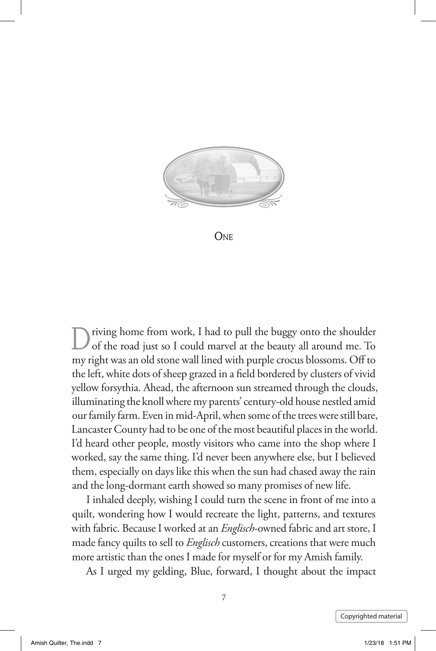

**ONE** 

riving home from work, I had to pull the buggy onto the shoulder of the road just so I could marvel at the beauty all around me. To my right was an old stone wall lined with purple crocus blossoms. Off to the left, white dots of sheep grazed in a field bordered by clusters of vivid yellow forsythia. Ahead, the afternoon sun streamed through the clouds, illuminating the knoll where my parents' century-old house nestled amid our family farm. Even in mid-April, when some of the trees were still bare, Lancaster County had to be one of the most beautiful places in the world. I'd heard other people, mostly visitors who came into the shop where I worked, say the same thing. I'd never been anywhere else, but I believed them, especially on days like this when the sun had chased away the rain and the long-dormant earth showed so many promises of new life.

I inhaled deeply, wishing I could turn the scene in front of me into a quilt, wondering how I would recreate the light, patterns, and textures with fabric. Because I worked at an *Englisch*-owned fabric and art store, I made fancy quilts to sell to *Englisch* customers, creations that were much more artistic than the ones I made for myself or for my Amish family.

As I urged my gelding, Blue, forward, I thought about the impact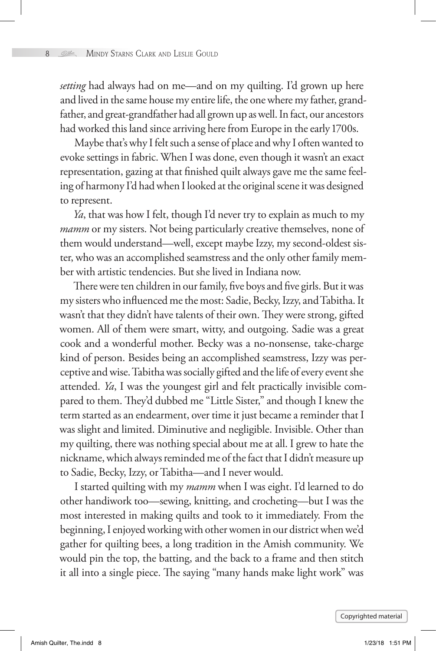*setting* had always had on me—and on my quilting. I'd grown up here and lived in the same house my entire life, the one where my father, grandfather, and great-grandfather had all grown up as well. In fact, our ancestors had worked this land since arriving here from Europe in the early 1700s.

Maybe that's why I felt such a sense of place and why I often wanted to evoke settings in fabric. When I was done, even though it wasn't an exact representation, gazing at that finished quilt always gave me the same feeling of harmony I'd had when I looked at the original scene it was designed to represent.

*Ya*, that was how I felt, though I'd never try to explain as much to my *mamm* or my sisters. Not being particularly creative themselves, none of them would understand—well, except maybe Izzy, my second-oldest sister, who was an accomplished seamstress and the only other family member with artistic tendencies. But she lived in Indiana now.

There were ten children in our family, five boys and five girls. But it was my sisters who influenced me the most: Sadie, Becky, Izzy, and Tabitha. It wasn't that they didn't have talents of their own. They were strong, gifted women. All of them were smart, witty, and outgoing. Sadie was a great cook and a wonderful mother. Becky was a no-nonsense, take-charge kind of person. Besides being an accomplished seamstress, Izzy was perceptive and wise. Tabitha was socially gifted and the life of every event she attended. *Ya*, I was the youngest girl and felt practically invisible compared to them. They'd dubbed me "Little Sister," and though I knew the term started as an endearment, over time it just became a reminder that I was slight and limited. Diminutive and negligible. Invisible. Other than my quilting, there was nothing special about me at all. I grew to hate the nickname, which always reminded me of the fact that I didn't measure up to Sadie, Becky, Izzy, or Tabitha—and I never would.

I started quilting with my *mamm* when I was eight. I'd learned to do other handiwork too—sewing, knitting, and crocheting—but I was the most interested in making quilts and took to it immediately. From the beginning, I enjoyed working with other women in our district when we'd gather for quilting bees, a long tradition in the Amish community. We would pin the top, the batting, and the back to a frame and then stitch it all into a single piece. The saying "many hands make light work" was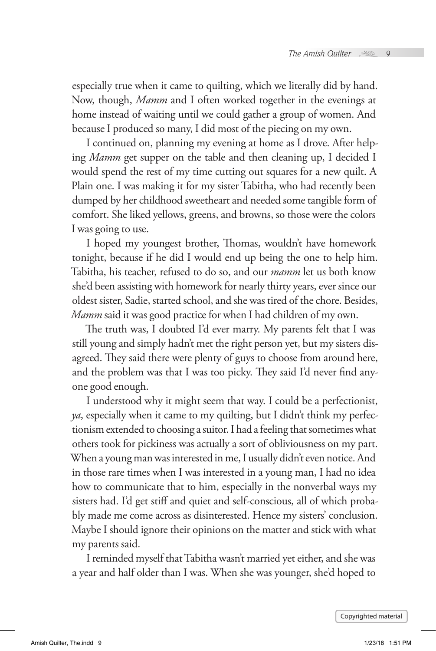especially true when it came to quilting, which we literally did by hand. Now, though, *Mamm* and I often worked together in the evenings at home instead of waiting until we could gather a group of women. And because I produced so many, I did most of the piecing on my own.

I continued on, planning my evening at home as I drove. After helping *Mamm* get supper on the table and then cleaning up, I decided I would spend the rest of my time cutting out squares for a new quilt. A Plain one. I was making it for my sister Tabitha, who had recently been dumped by her childhood sweetheart and needed some tangible form of comfort. She liked yellows, greens, and browns, so those were the colors I was going to use.

I hoped my youngest brother, Thomas, wouldn't have homework tonight, because if he did I would end up being the one to help him. Tabitha, his teacher, refused to do so, and our *mamm* let us both know she'd been assisting with homework for nearly thirty years, ever since our oldest sister, Sadie, started school, and she was tired of the chore. Besides, *Mamm* said it was good practice for when I had children of my own.

The truth was, I doubted I'd ever marry. My parents felt that I was still young and simply hadn't met the right person yet, but my sisters disagreed. They said there were plenty of guys to choose from around here, and the problem was that I was too picky. They said I'd never find anyone good enough.

I understood why it might seem that way. I could be a perfectionist, *ya*, especially when it came to my quilting, but I didn't think my perfectionism extended to choosing a suitor. I had a feeling that sometimes what others took for pickiness was actually a sort of obliviousness on my part. When a young man was interested in me, I usually didn't even notice. And in those rare times when I was interested in a young man, I had no idea how to communicate that to him, especially in the nonverbal ways my sisters had. I'd get stiff and quiet and self-conscious, all of which probably made me come across as disinterested. Hence my sisters' conclusion. Maybe I should ignore their opinions on the matter and stick with what my parents said.

I reminded myself that Tabitha wasn't married yet either, and she was a year and half older than I was. When she was younger, she'd hoped to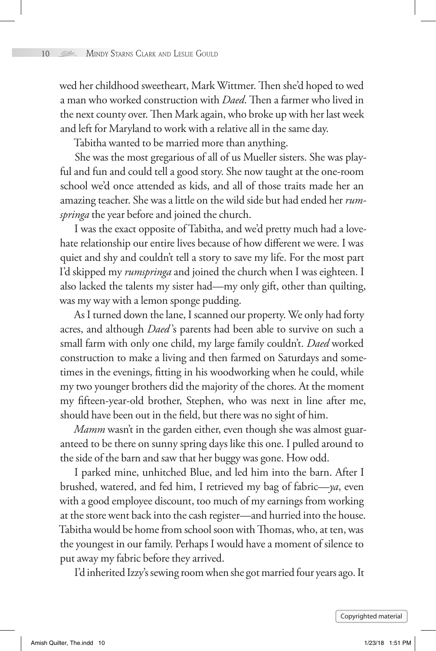wed her childhood sweetheart, Mark Wittmer. Then she'd hoped to wed a man who worked construction with *Daed*. Then a farmer who lived in the next county over. Then Mark again, who broke up with her last week and left for Maryland to work with a relative all in the same day.

Tabitha wanted to be married more than anything.

She was the most gregarious of all of us Mueller sisters. She was playful and fun and could tell a good story. She now taught at the one-room school we'd once attended as kids, and all of those traits made her an amazing teacher. She was a little on the wild side but had ended her *rumspringa* the year before and joined the church.

I was the exact opposite of Tabitha, and we'd pretty much had a lovehate relationship our entire lives because of how different we were. I was quiet and shy and couldn't tell a story to save my life. For the most part I'd skipped my *rumspringa* and joined the church when I was eighteen. I also lacked the talents my sister had—my only gift, other than quilting, was my way with a lemon sponge pudding.

As I turned down the lane, I scanned our property. We only had forty acres, and although *Daed* 's parents had been able to survive on such a small farm with only one child, my large family couldn't. *Daed* worked construction to make a living and then farmed on Saturdays and sometimes in the evenings, fitting in his woodworking when he could, while my two younger brothers did the majority of the chores. At the moment my fifteen-year-old brother, Stephen, who was next in line after me, should have been out in the field, but there was no sight of him.

*Mamm* wasn't in the garden either, even though she was almost guaranteed to be there on sunny spring days like this one. I pulled around to the side of the barn and saw that her buggy was gone. How odd.

I parked mine, unhitched Blue, and led him into the barn. After I brushed, watered, and fed him, I retrieved my bag of fabric—*ya*, even with a good employee discount, too much of my earnings from working at the store went back into the cash register—and hurried into the house. Tabitha would be home from school soon with Thomas, who, at ten, was the youngest in our family. Perhaps I would have a moment of silence to put away my fabric before they arrived.

I'd inherited Izzy's sewing room when she got married four years ago. It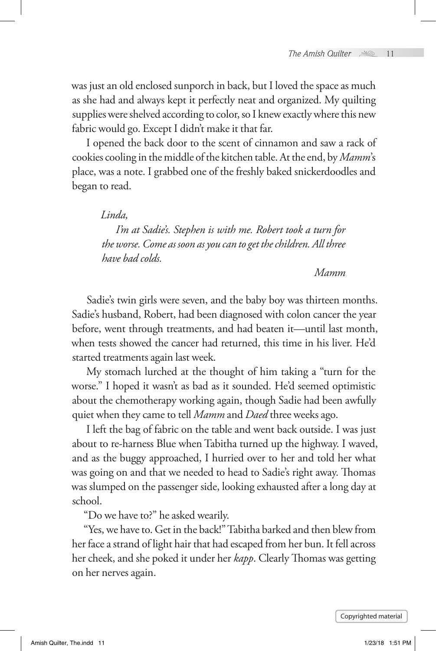was just an old enclosed sunporch in back, but I loved the space as much as she had and always kept it perfectly neat and organized. My quilting supplies were shelved according to color, so I knew exactly where this new fabric would go. Except I didn't make it that far.

I opened the back door to the scent of cinnamon and saw a rack of cookies cooling in the middle of the kitchen table. At the end, by *Mamm*'s place, was a note. I grabbed one of the freshly baked snickerdoodles and began to read.

*Linda,*

*I'm at Sadie's. Stephen is with me. Robert took a turn for the worse. Come as soon as you can to get the children. All three have bad colds.*

### *Mamm*

Sadie's twin girls were seven, and the baby boy was thirteen months. Sadie's husband, Robert, had been diagnosed with colon cancer the year before, went through treatments, and had beaten it—until last month, when tests showed the cancer had returned, this time in his liver. He'd started treatments again last week.

My stomach lurched at the thought of him taking a "turn for the worse." I hoped it wasn't as bad as it sounded. He'd seemed optimistic about the chemotherapy working again, though Sadie had been awfully quiet when they came to tell *Mamm* and *Daed* three weeks ago.

I left the bag of fabric on the table and went back outside. I was just about to re-harness Blue when Tabitha turned up the highway. I waved, and as the buggy approached, I hurried over to her and told her what was going on and that we needed to head to Sadie's right away. Thomas was slumped on the passenger side, looking exhausted after a long day at school.

"Do we have to?" he asked wearily.

"Yes, we have to. Get in the back!" Tabitha barked and then blew from her face a strand of light hair that had escaped from her bun. It fell across her cheek, and she poked it under her *kapp*. Clearly Thomas was getting on her nerves again.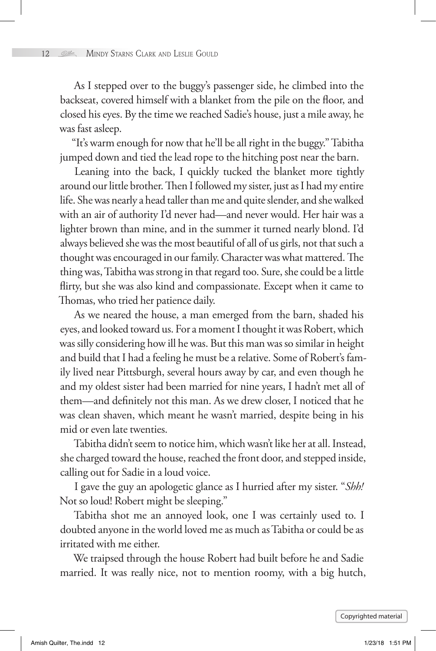As I stepped over to the buggy's passenger side, he climbed into the backseat, covered himself with a blanket from the pile on the floor, and closed his eyes. By the time we reached Sadie's house, just a mile away, he was fast asleep.

"It's warm enough for now that he'll be all right in the buggy." Tabitha jumped down and tied the lead rope to the hitching post near the barn.

Leaning into the back, I quickly tucked the blanket more tightly around our little brother. Then I followed my sister, just as I had my entire life. She was nearly a head taller than me and quite slender, and she walked with an air of authority I'd never had—and never would. Her hair was a lighter brown than mine, and in the summer it turned nearly blond. I'd always believed she was the most beautiful of all of us girls, not that such a thought was encouraged in our family. Character was what mattered. The thing was, Tabitha was strong in that regard too. Sure, she could be a little flirty, but she was also kind and compassionate. Except when it came to Thomas, who tried her patience daily.

As we neared the house, a man emerged from the barn, shaded his eyes, and looked toward us. For a moment I thought it was Robert, which was silly considering how ill he was. But this man was so similar in height and build that I had a feeling he must be a relative. Some of Robert's family lived near Pittsburgh, several hours away by car, and even though he and my oldest sister had been married for nine years, I hadn't met all of them—and definitely not this man. As we drew closer, I noticed that he was clean shaven, which meant he wasn't married, despite being in his mid or even late twenties.

Tabitha didn't seem to notice him, which wasn't like her at all. Instead, she charged toward the house, reached the front door, and stepped inside, calling out for Sadie in a loud voice.

I gave the guy an apologetic glance as I hurried after my sister. "*Shh!* Not so loud! Robert might be sleeping."

Tabitha shot me an annoyed look, one I was certainly used to. I doubted anyone in the world loved me as much as Tabitha or could be as irritated with me either.

We traipsed through the house Robert had built before he and Sadie married. It was really nice, not to mention roomy, with a big hutch,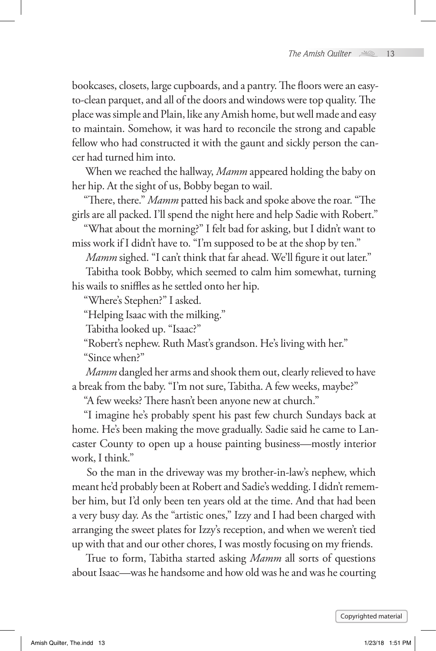bookcases, closets, large cupboards, and a pantry. The floors were an easyto-clean parquet, and all of the doors and windows were top quality. The place was simple and Plain, like any Amish home, but well made and easy to maintain. Somehow, it was hard to reconcile the strong and capable fellow who had constructed it with the gaunt and sickly person the cancer had turned him into.

When we reached the hallway, *Mamm* appeared holding the baby on her hip. At the sight of us, Bobby began to wail.

"There, there." *Mamm* patted his back and spoke above the roar. "The girls are all packed. I'll spend the night here and help Sadie with Robert."

"What about the morning?" I felt bad for asking, but I didn't want to miss work if I didn't have to. "I'm supposed to be at the shop by ten."

*Mamm* sighed. "I can't think that far ahead. We'll figure it out later."

Tabitha took Bobby, which seemed to calm him somewhat, turning his wails to sniffles as he settled onto her hip.

"Where's Stephen?" I asked.

"Helping Isaac with the milking."

Tabitha looked up. "Isaac?"

"Robert's nephew. Ruth Mast's grandson. He's living with her."

"Since when?"

*Mamm* dangled her arms and shook them out, clearly relieved to have a break from the baby. "I'm not sure, Tabitha. A few weeks, maybe?"

"A few weeks? There hasn't been anyone new at church."

"I imagine he's probably spent his past few church Sundays back at home. He's been making the move gradually. Sadie said he came to Lancaster County to open up a house painting business—mostly interior work, I think."

So the man in the driveway was my brother-in-law's nephew, which meant he'd probably been at Robert and Sadie's wedding. I didn't remember him, but I'd only been ten years old at the time. And that had been a very busy day. As the "artistic ones," Izzy and I had been charged with arranging the sweet plates for Izzy's reception, and when we weren't tied up with that and our other chores, I was mostly focusing on my friends.

True to form, Tabitha started asking *Mamm* all sorts of questions about Isaac—was he handsome and how old was he and was he courting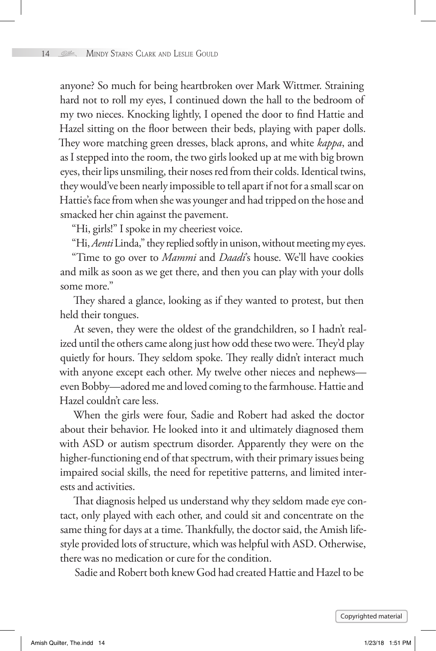anyone? So much for being heartbroken over Mark Wittmer. Straining hard not to roll my eyes, I continued down the hall to the bedroom of my two nieces. Knocking lightly, I opened the door to find Hattie and Hazel sitting on the floor between their beds, playing with paper dolls. They wore matching green dresses, black aprons, and white *kappa*, and as I stepped into the room, the two girls looked up at me with big brown eyes, their lips unsmiling, their noses red from their colds. Identical twins, they would've been nearly impossible to tell apart if not for a small scar on Hattie's face from when she was younger and had tripped on the hose and smacked her chin against the pavement.

"Hi, girls!" I spoke in my cheeriest voice.

"Hi, *Aenti* Linda," they replied softly in unison, without meeting my eyes.

"Time to go over to *Mammi* and *Daadi*'s house. We'll have cookies and milk as soon as we get there, and then you can play with your dolls some more."

They shared a glance, looking as if they wanted to protest, but then held their tongues.

At seven, they were the oldest of the grandchildren, so I hadn't realized until the others came along just how odd these two were. They'd play quietly for hours. They seldom spoke. They really didn't interact much with anyone except each other. My twelve other nieces and nephews even Bobby—adored me and loved coming to the farmhouse. Hattie and Hazel couldn't care less.

When the girls were four, Sadie and Robert had asked the doctor about their behavior. He looked into it and ultimately diagnosed them with ASD or autism spectrum disorder. Apparently they were on the higher-functioning end of that spectrum, with their primary issues being impaired social skills, the need for repetitive patterns, and limited interests and activities.

That diagnosis helped us understand why they seldom made eye contact, only played with each other, and could sit and concentrate on the same thing for days at a time. Thankfully, the doctor said, the Amish lifestyle provided lots of structure, which was helpful with ASD. Otherwise, there was no medication or cure for the condition.

Sadie and Robert both knew God had created Hattie and Hazel to be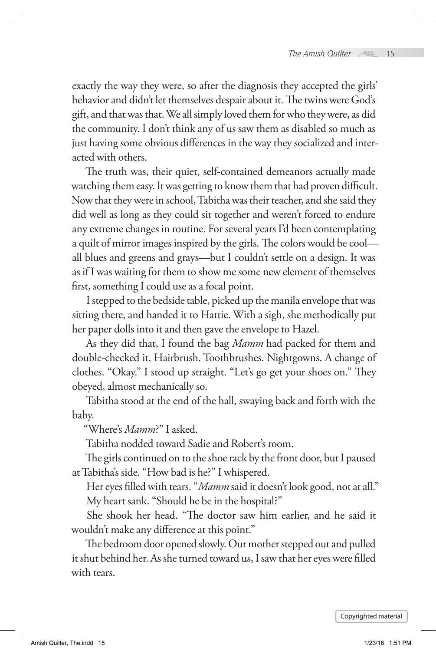exactly the way they were, so after the diagnosis they accepted the girls' behavior and didn't let themselves despair about it. The twins were God's gift, and that was that. We all simply loved them for who they were, as did the community. I don't think any of us saw them as disabled so much as just having some obvious differences in the way they socialized and interacted with others.

The truth was, their quiet, self-contained demeanors actually made watching them easy. It was getting to know them that had proven difficult. Now that they were in school, Tabitha was their teacher, and she said they did well as long as they could sit together and weren't forced to endure any extreme changes in routine. For several years I'd been contemplating a quilt of mirror images inspired by the girls. The colors would be cool all blues and greens and grays—but I couldn't settle on a design. It was as if I was waiting for them to show me some new element of themselves first, something I could use as a focal point.

I stepped to the bedside table, picked up the manila envelope that was sitting there, and handed it to Hattie. With a sigh, she methodically put her paper dolls into it and then gave the envelope to Hazel.

As they did that, I found the bag *Mamm* had packed for them and double-checked it. Hairbrush. Toothbrushes. Nightgowns. A change of clothes. "Okay." I stood up straight. "Let's go get your shoes on." They obeyed, almost mechanically so.

Tabitha stood at the end of the hall, swaying back and forth with the baby.

"Where's *Mamm*?" I asked.

Tabitha nodded toward Sadie and Robert's room.

The girls continued on to the shoe rack by the front door, but I paused at Tabitha's side. "How bad is he?" I whispered.

Her eyes filled with tears. "Mamm said it doesn't look good, not at all." My heart sank. "Should he be in the hospital?"

She shook her head. "The doctor saw him earlier, and he said it wouldn't make any difference at this point."

The bedroom door opened slowly. Our mother stepped out and pulled it shut behind her. As she turned toward us, I saw that her eyes were filled with tears.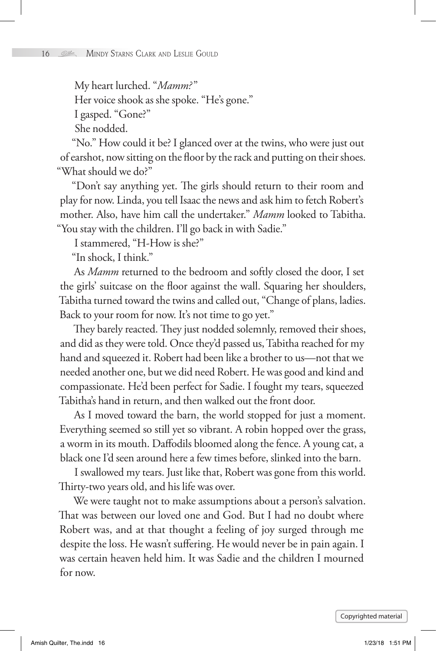My heart lurched. "*Mamm?* "

Her voice shook as she spoke. "He's gone."

I gasped. "Gone?"

She nodded.

"No." How could it be? I glanced over at the twins, who were just out of earshot, now sitting on the floor by the rack and putting on their shoes. "What should we do?"

"Don't say anything yet. The girls should return to their room and play for now. Linda, you tell Isaac the news and ask him to fetch Robert's mother. Also, have him call the undertaker." *Mamm* looked to Tabitha. "You stay with the children. I'll go back in with Sadie."

I stammered, "H-How is she?"

"In shock, I think."

As *Mamm* returned to the bedroom and softly closed the door, I set the girls' suitcase on the floor against the wall. Squaring her shoulders, Tabitha turned toward the twins and called out, "Change of plans, ladies. Back to your room for now. It's not time to go yet."

They barely reacted. They just nodded solemnly, removed their shoes, and did as they were told. Once they'd passed us, Tabitha reached for my hand and squeezed it. Robert had been like a brother to us—not that we needed another one, but we did need Robert. He was good and kind and compassionate. He'd been perfect for Sadie. I fought my tears, squeezed Tabitha's hand in return, and then walked out the front door.

As I moved toward the barn, the world stopped for just a moment. Everything seemed so still yet so vibrant. A robin hopped over the grass, a worm in its mouth. Daffodils bloomed along the fence. A young cat, a black one I'd seen around here a few times before, slinked into the barn.

I swallowed my tears. Just like that, Robert was gone from this world. Thirty-two years old, and his life was over.

We were taught not to make assumptions about a person's salvation. That was between our loved one and God. But I had no doubt where Robert was, and at that thought a feeling of joy surged through me despite the loss. He wasn't suffering. He would never be in pain again. I was certain heaven held him. It was Sadie and the children I mourned for now.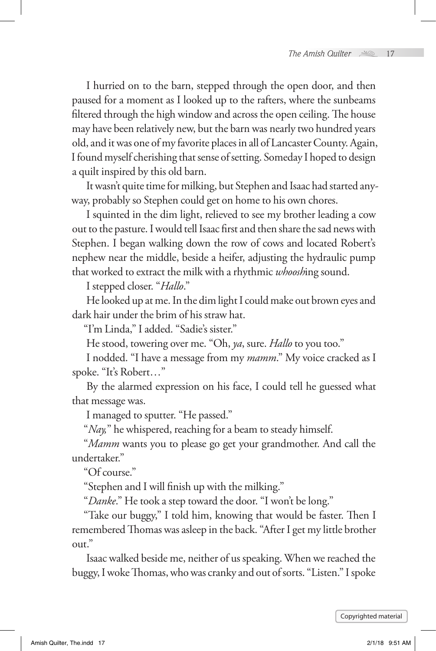I hurried on to the barn, stepped through the open door, and then paused for a moment as I looked up to the rafters, where the sunbeams filtered through the high window and across the open ceiling. The house may have been relatively new, but the barn was nearly two hundred years old, and it was one of my favorite places in all of Lancaster County. Again, I found myself cherishing that sense of setting. Someday I hoped to design a quilt inspired by this old barn.

It wasn't quite time for milking, but Stephen and Isaac had started anyway, probably so Stephen could get on home to his own chores.

I squinted in the dim light, relieved to see my brother leading a cow out to the pasture. I would tell Isaac first and then share the sad news with Stephen. I began walking down the row of cows and located Robert's nephew near the middle, beside a heifer, adjusting the hydraulic pump that worked to extract the milk with a rhythmic *whoosh*ing sound.

I stepped closer. "*Hallo*."

He looked up at me. In the dim light I could make out brown eyes and dark hair under the brim of his straw hat.

"I'm Linda," I added. "Sadie's sister."

He stood, towering over me. "Oh, *ya*, sure. *Hallo* to you too."

I nodded. "I have a message from my *mamm*." My voice cracked as I spoke. "It's Robert…"

By the alarmed expression on his face, I could tell he guessed what that message was.

I managed to sputter. "He passed."

"*Nay,*" he whispered, reaching for a beam to steady himself.

"*Mamm* wants you to please go get your grandmother. And call the undertaker."

"Of course."

"Stephen and I will finish up with the milking."

"*Danke*." He took a step toward the door. "I won't be long."

"Take our buggy," I told him, knowing that would be faster. Then I remembered Thomas was asleep in the back. "After I get my little brother out."

Isaac walked beside me, neither of us speaking. When we reached the buggy, I woke Thomas, who was cranky and out of sorts. "Listen." I spoke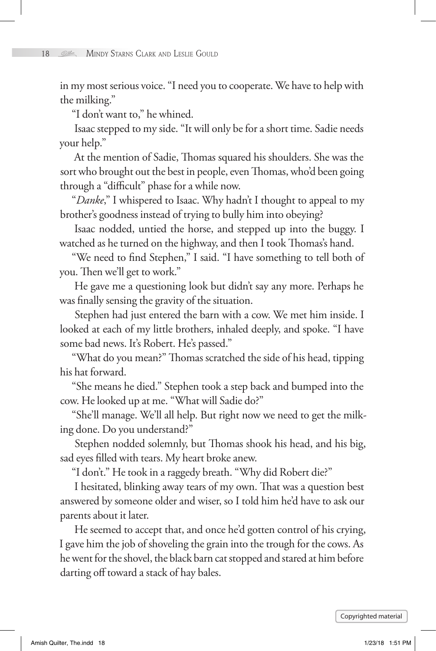in my most serious voice. "I need you to cooperate. We have to help with the milking."

"I don't want to," he whined.

Isaac stepped to my side. "It will only be for a short time. Sadie needs your help."

At the mention of Sadie, Thomas squared his shoulders. She was the sort who brought out the best in people, even Thomas, who'd been going through a "difficult" phase for a while now.

"*Danke*," I whispered to Isaac. Why hadn't I thought to appeal to my brother's goodness instead of trying to bully him into obeying?

Isaac nodded, untied the horse, and stepped up into the buggy. I watched as he turned on the highway, and then I took Thomas's hand.

"We need to find Stephen," I said. "I have something to tell both of you. Then we'll get to work."

He gave me a questioning look but didn't say any more. Perhaps he was finally sensing the gravity of the situation.

Stephen had just entered the barn with a cow. We met him inside. I looked at each of my little brothers, inhaled deeply, and spoke. "I have some bad news. It's Robert. He's passed."

"What do you mean?" Thomas scratched the side of his head, tipping his hat forward.

"She means he died." Stephen took a step back and bumped into the cow. He looked up at me. "What will Sadie do?"

"She'll manage. We'll all help. But right now we need to get the milking done. Do you understand?"

Stephen nodded solemnly, but Thomas shook his head, and his big, sad eyes filled with tears. My heart broke anew.

"I don't." He took in a raggedy breath. "Why did Robert die?"

I hesitated, blinking away tears of my own. That was a question best answered by someone older and wiser, so I told him he'd have to ask our parents about it later.

He seemed to accept that, and once he'd gotten control of his crying, I gave him the job of shoveling the grain into the trough for the cows. As he went for the shovel, the black barn cat stopped and stared at him before darting off toward a stack of hay bales.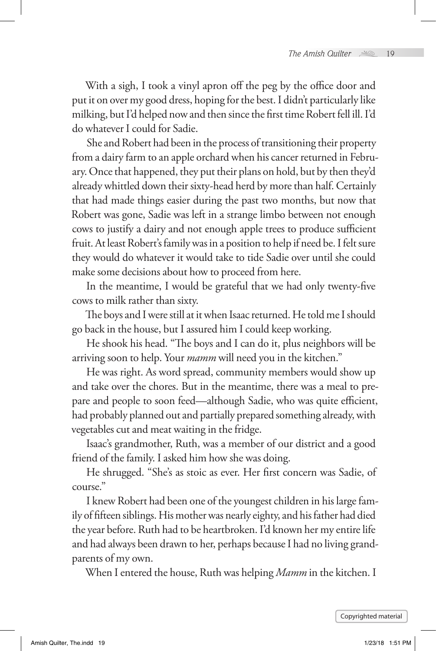With a sigh, I took a vinyl apron off the peg by the office door and put it on over my good dress, hoping for the best. I didn't particularly like milking, but I'd helped now and then since the first time Robert fell ill. I'd do whatever I could for Sadie.

She and Robert had been in the process of transitioning their property from a dairy farm to an apple orchard when his cancer returned in February. Once that happened, they put their plans on hold, but by then they'd already whittled down their sixty-head herd by more than half. Certainly that had made things easier during the past two months, but now that Robert was gone, Sadie was left in a strange limbo between not enough cows to justify a dairy and not enough apple trees to produce sufficient fruit. At least Robert's family was in a position to help if need be. I felt sure they would do whatever it would take to tide Sadie over until she could make some decisions about how to proceed from here.

In the meantime, I would be grateful that we had only twenty-five cows to milk rather than sixty.

The boys and I were still at it when Isaac returned. He told me I should go back in the house, but I assured him I could keep working.

He shook his head. "The boys and I can do it, plus neighbors will be arriving soon to help. Your *mamm* will need you in the kitchen."

He was right. As word spread, community members would show up and take over the chores. But in the meantime, there was a meal to prepare and people to soon feed—although Sadie, who was quite efficient, had probably planned out and partially prepared something already, with vegetables cut and meat waiting in the fridge.

Isaac's grandmother, Ruth, was a member of our district and a good friend of the family. I asked him how she was doing.

He shrugged. "She's as stoic as ever. Her first concern was Sadie, of course."

I knew Robert had been one of the youngest children in his large family of fifteen siblings. His mother was nearly eighty, and his father had died the year before. Ruth had to be heartbroken. I'd known her my entire life and had always been drawn to her, perhaps because I had no living grandparents of my own.

When I entered the house, Ruth was helping *Mamm* in the kitchen. I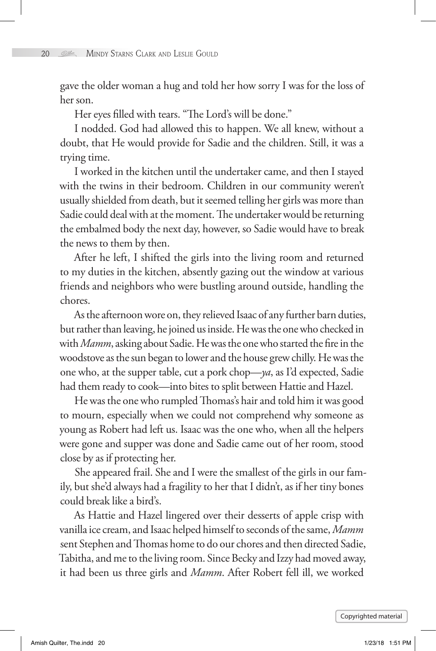gave the older woman a hug and told her how sorry I was for the loss of her son.

Her eyes filled with tears. "The Lord's will be done."

I nodded. God had allowed this to happen. We all knew, without a doubt, that He would provide for Sadie and the children. Still, it was a trying time.

I worked in the kitchen until the undertaker came, and then I stayed with the twins in their bedroom. Children in our community weren't usually shielded from death, but it seemed telling her girls was more than Sadie could deal with at the moment. The undertaker would be returning the embalmed body the next day, however, so Sadie would have to break the news to them by then.

After he left, I shifted the girls into the living room and returned to my duties in the kitchen, absently gazing out the window at various friends and neighbors who were bustling around outside, handling the chores.

As the afternoon wore on, they relieved Isaac of any further barn duties, but rather than leaving, he joined us inside. He was the one who checked in with *Mamm*, asking about Sadie. He was the one who started the fire in the woodstove as the sun began to lower and the house grew chilly. He was the one who, at the supper table, cut a pork chop—*ya*, as I'd expected, Sadie had them ready to cook—into bites to split between Hattie and Hazel.

He was the one who rumpled Thomas's hair and told him it was good to mourn, especially when we could not comprehend why someone as young as Robert had left us. Isaac was the one who, when all the helpers were gone and supper was done and Sadie came out of her room, stood close by as if protecting her.

She appeared frail. She and I were the smallest of the girls in our family, but she'd always had a fragility to her that I didn't, as if her tiny bones could break like a bird's.

As Hattie and Hazel lingered over their desserts of apple crisp with vanilla ice cream, and Isaac helped himself to seconds of the same, *Mamm* sent Stephen and Thomas home to do our chores and then directed Sadie, Tabitha, and me to the living room. Since Becky and Izzy had moved away, it had been us three girls and *Mamm*. After Robert fell ill, we worked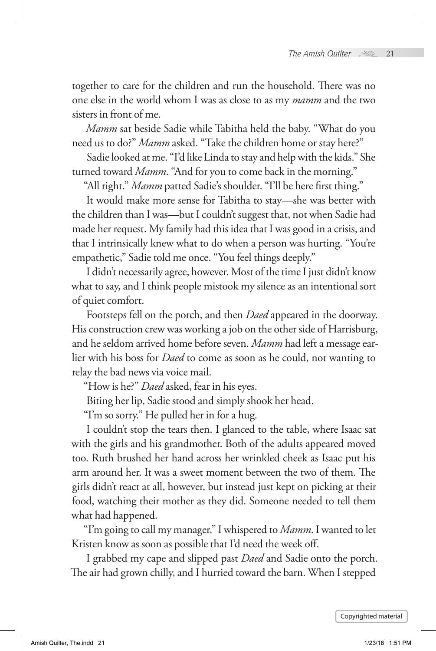together to care for the children and run the household. There was no one else in the world whom I was as close to as my *mamm* and the two sisters in front of me.

*Mamm* sat beside Sadie while Tabitha held the baby. "What do you need us to do?" *Mamm* asked. "Take the children home or stay here?"

Sadie looked at me. "I'd like Linda to stay and help with the kids." She turned toward *Mamm*. "And for you to come back in the morning."

"All right." *Mamm* patted Sadie's shoulder. "I'll be here first thing."

It would make more sense for Tabitha to stay—she was better with the children than I was—but I couldn't suggest that, not when Sadie had made her request. My family had this idea that I was good in a crisis, and that I intrinsically knew what to do when a person was hurting. "You're empathetic," Sadie told me once. "You feel things deeply."

I didn't necessarily agree, however. Most of the time I just didn't know what to say, and I think people mistook my silence as an intentional sort of quiet comfort.

Footsteps fell on the porch, and then *Daed* appeared in the doorway. His construction crew was working a job on the other side of Harrisburg, and he seldom arrived home before seven. *Mamm* had left a message earlier with his boss for *Daed* to come as soon as he could, not wanting to relay the bad news via voice mail.

"How is he?" *Daed* asked, fear in his eyes.

Biting her lip, Sadie stood and simply shook her head.

"I'm so sorry." He pulled her in for a hug.

I couldn't stop the tears then. I glanced to the table, where Isaac sat with the girls and his grandmother. Both of the adults appeared moved too. Ruth brushed her hand across her wrinkled cheek as Isaac put his arm around her. It was a sweet moment between the two of them. The girls didn't react at all, however, but instead just kept on picking at their food, watching their mother as they did. Someone needed to tell them what had happened.

"I'm going to call my manager," I whispered to *Mamm*. I wanted to let Kristen know as soon as possible that I'd need the week off.

I grabbed my cape and slipped past *Daed* and Sadie onto the porch. The air had grown chilly, and I hurried toward the barn. When I stepped

Copyrighted material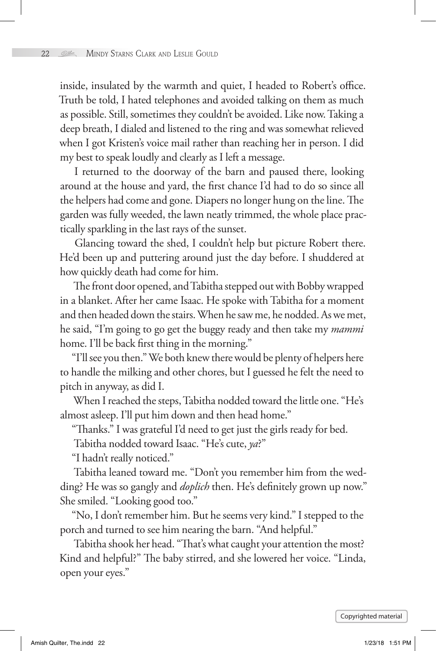inside, insulated by the warmth and quiet, I headed to Robert's office. Truth be told, I hated telephones and avoided talking on them as much as possible. Still, sometimes they couldn't be avoided. Like now. Taking a deep breath, I dialed and listened to the ring and was somewhat relieved when I got Kristen's voice mail rather than reaching her in person. I did my best to speak loudly and clearly as I left a message.

I returned to the doorway of the barn and paused there, looking around at the house and yard, the first chance I'd had to do so since all the helpers had come and gone. Diapers no longer hung on the line. The garden was fully weeded, the lawn neatly trimmed, the whole place practically sparkling in the last rays of the sunset.

Glancing toward the shed, I couldn't help but picture Robert there. He'd been up and puttering around just the day before. I shuddered at how quickly death had come for him.

The front door opened, and Tabitha stepped out with Bobby wrapped in a blanket. After her came Isaac. He spoke with Tabitha for a moment and then headed down the stairs. When he saw me, he nodded. As we met, he said, "I'm going to go get the buggy ready and then take my *mammi* home. I'll be back first thing in the morning."

"I'll see you then." We both knew there would be plenty of helpers here to handle the milking and other chores, but I guessed he felt the need to pitch in anyway, as did I.

When I reached the steps, Tabitha nodded toward the little one. "He's almost asleep. I'll put him down and then head home."

"Thanks." I was grateful I'd need to get just the girls ready for bed.

Tabitha nodded toward Isaac. "He's cute, *ya*?"

"I hadn't really noticed."

Tabitha leaned toward me. "Don't you remember him from the wedding? He was so gangly and *doplich* then. He's definitely grown up now." She smiled. "Looking good too."

"No, I don't remember him. But he seems very kind." I stepped to the porch and turned to see him nearing the barn. "And helpful."

Tabitha shook her head. "That's what caught your attention the most? Kind and helpful?" The baby stirred, and she lowered her voice. "Linda, open your eyes."